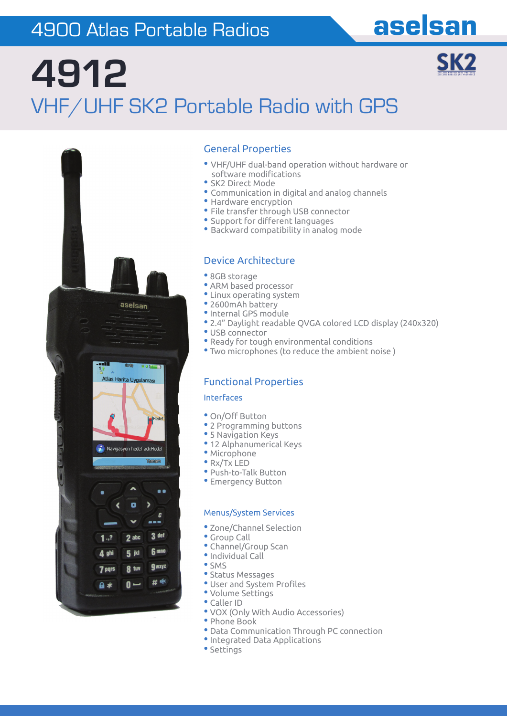# 4900 Atlas Portable Radios and aselsan

SK<sub>2</sub>

# **4912**  VHF/UHF SK2 Portable Radio with GPS



### General Properties

- VHF/UHF dual-band operation without hardware or software modifications
- SK2 Direct Mode
- Communication in digital and analog channels
- Hardware encryption
- File transfer through USB connector
- Support for different languages
- Backward compatibility in analog mode

### Device Architecture

- 8GB storage
- ARM based processor
- Linux operating system
- 2600mAh battery
- •Internal GPS module
- 2.4" Daylight readable QVGA colored LCD display (240x320)
- USB connector
- Ready for tough environmental conditions
- Two microphones (to reduce the ambient noise )

### Functional Properties

#### Interfaces

- On/Off Button
- 2 Programming buttons
- 5 Navigation Keys
- 12 Alphanumerical Keys
- Microphone
- Rx/Tx LED
- Push-to-Talk Button
- Emergency Button

#### Menus/System Services

- Zone/Channel Selection
- Group Call
- Channel/Group Scan
- •Individual Call
- SMS
- Status Messages
- User and System Profiles
- Volume Settings
- Caller ID
- VOX (Only With Audio Accessories)
- Phone Book • Data Communication Through PC connection
- •Integrated Data Applications
- Settings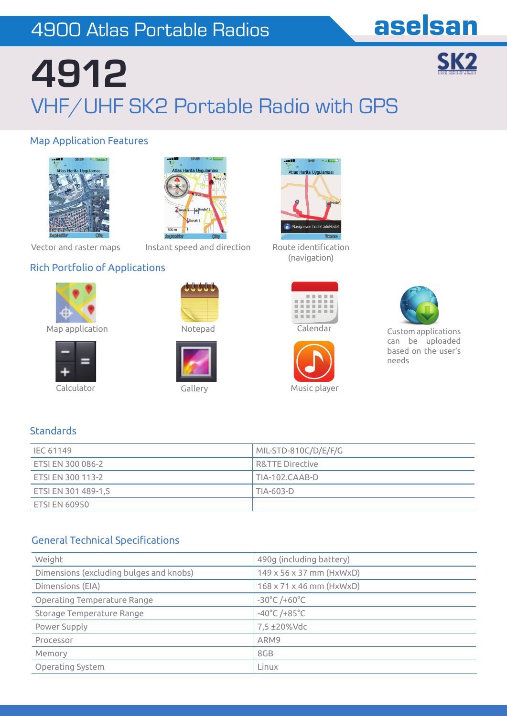# 4900 Atlas Portable Radios and aselsan

SK<sub>2</sub>

# **4912**  VHF/UHF SK2 Portable Radio with GPS

### Map Application Features





Vector and raster maps

Instant speed and direction Route identification

### Rich Portfolio of Applications



Map application **Notepad** 



Calculator Callery Gallery Music player

**Standards** 







(navigation)





Custom applications can be uploaded based on the user's needs

| IEC 61149            | MIL-STD-810C/D/E/F/G       |  |
|----------------------|----------------------------|--|
| ETSI EN 300 086-2    | <b>R&amp;TTE Directive</b> |  |
| ETSI EN 300 113-2    | TIA-102.CAAB-D             |  |
| ETSI EN 301 489-1,5  | TIA-603-D                  |  |
| <b>ETSI EN 60950</b> |                            |  |

### **General Technical Specifications**

| Weight                                  | 490g (including battery)             |  |  |
|-----------------------------------------|--------------------------------------|--|--|
| Dimensions (excluding bulges and knobs) | 149 x 56 x 37 mm (HxWxD)             |  |  |
| Dimensions (EIA)                        | $168 \times 71 \times 46$ mm (HxWxD) |  |  |
| Operating Temperature Range             | $-30^{\circ}$ C /+60 $^{\circ}$ C    |  |  |
| Storage Temperature Range               | $-40^{\circ}$ C /+85 $^{\circ}$ C    |  |  |
| Power Supply                            | 7,5 ±20%Vdc                          |  |  |
| Processor                               | ARM9                                 |  |  |
| Memory                                  | 8GB                                  |  |  |
| Operating System                        | Linux                                |  |  |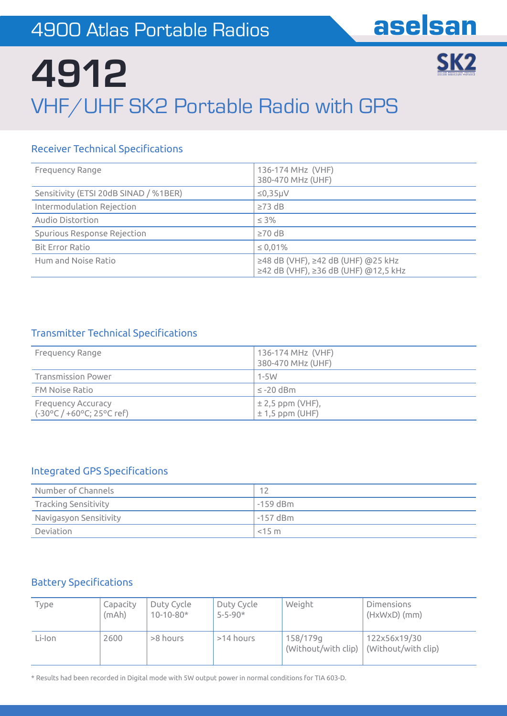SK<sub>2</sub>

# **4912**  VHF/UHF SK2 Portable Radio with GPS

# **Receiver Technical Specifications**

| Frequency Range                       | 136-174 MHz (VHF)<br>380-470 MHz (UHF)                                         |  |  |
|---------------------------------------|--------------------------------------------------------------------------------|--|--|
| Sensitivity (ETSI 20dB SINAD / %1BER) | $\leq$ 0,35µV                                                                  |  |  |
| Intermodulation Rejection             | $\geq$ 73 dB                                                                   |  |  |
| Audio Distortion                      | $\leq 3\%$                                                                     |  |  |
| Spurious Response Rejection           | $\geq 70$ dB                                                                   |  |  |
| <b>Bit Error Ratio</b>                | $\leq 0.01\%$                                                                  |  |  |
| Hum and Noise Ratio                   | $≥48$ dB (VHF), $≥42$ dB (UHF) @25 kHz<br>≥42 dB (VHF), ≥36 dB (UHF) @12,5 kHz |  |  |

## **Transmitter Technical Specifications**

| Frequency Range                                                               | 136-174 MHz (VHF)<br>380-470 MHz (UHF)    |
|-------------------------------------------------------------------------------|-------------------------------------------|
| <b>Transmission Power</b>                                                     | $1-5W$                                    |
| FM Noise Ratio                                                                | $\leq$ -20 dBm                            |
| <b>Frequency Accuracy</b><br>$(-30^{\circ}C / +60^{\circ}C; 25^{\circ}C$ ref) | $\pm 2.5$ ppm (VHF),<br>$± 1,5$ ppm (UHF) |

## Integrated GPS Specifications

| Number of Channels     | 12         |
|------------------------|------------|
| Tracking Sensitivity   | $-159$ dBm |
| Navigasyon Sensitivity | $-157$ dBm |
| Deviation              | $<$ 15 m   |

# **Battery Specifications**

| Type   | Capacity<br>(mAh) | Duty Cycle<br>$10 - 10 - 80*$ | Duty Cycle<br>$5 - 5 - 90*$ | Weight                              | Dimensions<br>$(HxWxD)$ (mm)        |
|--------|-------------------|-------------------------------|-----------------------------|-------------------------------------|-------------------------------------|
| Li-Ion | 2600              | >8 hours                      | >14 hours                   | 158/179g<br>(Without/with clip) $ $ | 122x56x19/30<br>(Without/with clip) |

\* Results had been recorded in Digital mode with 5W output power in normal conditions for TIA 603-D.